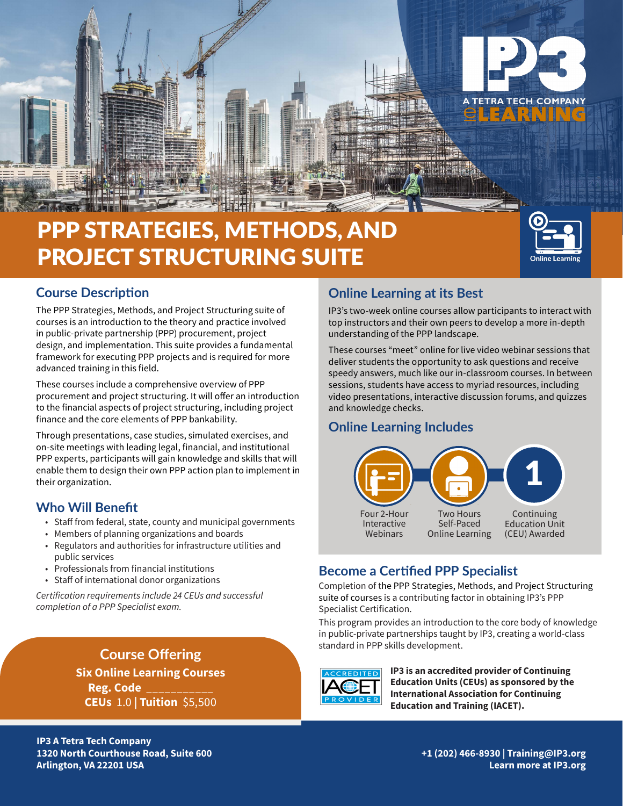

# PPP STRATEGIES, METHODS, AND PROJECT STRUCTURING SUITE



## **Course Description**

The PPP Strategies, Methods, and Project Structuring suite of courses is an introduction to the theory and practice involved in public-private partnership (PPP) procurement, project design, and implementation. This suite provides a fundamental framework for executing PPP projects and is required for more advanced training in this field.

These courses include a comprehensive overview of PPP procurement and project structuring. It will offer an introduction to the financial aspects of project structuring, including project finance and the core elements of PPP bankability.

Through presentations, case studies, simulated exercises, and on-site meetings with leading legal, financial, and institutional PPP experts, participants will gain knowledge and skills that will enable them to design their own PPP action plan to implement in their organization.

## **Who Will Benefit**

- Staff from federal, state, county and municipal governments
- Members of planning organizations and boards
- Regulators and authorities for infrastructure utilities and public services
- Professionals from financial institutions
- Staff of international donor organizations

*Certification requirements include 24 CEUs and successful completion of a PPP Specialist exam.* 

> **Course Offering Six Online Learning Courses Reg. Code** \_\_\_\_\_\_\_\_\_\_\_ **CEUs** 1.0 **| Tuition** \$5,500

## **Online Learning at its Best**

IP3's two-week online courses allow participants to interact with top instructors and their own peers to develop a more in-depth understanding of the PPP landscape.

These courses "meet" online for live video webinar sessions that deliver students the opportunity to ask questions and receive speedy answers, much like our in-classroom courses. In between sessions, students have access to myriad resources, including video presentations, interactive discussion forums, and quizzes and knowledge checks.

## **Online Learning Includes**



## **Become a Certified PPP Specialist**

Completion of the PPP Strategies, Methods, and Project Structuring suite of courses is a contributing factor in obtaining IP3's PPP Specialist Certification.

This program provides an introduction to the core body of knowledge in public-private partnerships taught by IP3, creating a world-class standard in PPP skills development.



**IP3 is an accredited provider of Continuing Education Units (CEUs) as sponsored by the International Association for Continuing Education and Training (IACET).**

**IP3 A Tetra Tech Company 1320 North Courthouse Road, Suite 600 Arlington, VA 22201 USA**

**+1 (202) 466-8930 | Training@IP3.org Learn more at IP3.org**